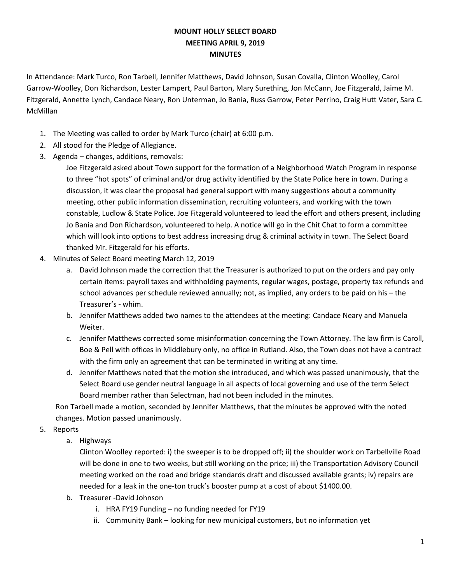## **MOUNT HOLLY SELECT BOARD MEETING APRIL 9, 2019 MINUTES**

In Attendance: Mark Turco, Ron Tarbell, Jennifer Matthews, David Johnson, Susan Covalla, Clinton Woolley, Carol Garrow-Woolley, Don Richardson, Lester Lampert, Paul Barton, Mary Surething, Jon McCann, Joe Fitzgerald, Jaime M. Fitzgerald, Annette Lynch, Candace Neary, Ron Unterman, Jo Bania, Russ Garrow, Peter Perrino, Craig Hutt Vater, Sara C. McMillan

- 1. The Meeting was called to order by Mark Turco (chair) at 6:00 p.m.
- 2. All stood for the Pledge of Allegiance.
- 3. Agenda changes, additions, removals:

Joe Fitzgerald asked about Town support for the formation of a Neighborhood Watch Program in response to three "hot spots" of criminal and/or drug activity identified by the State Police here in town. During a discussion, it was clear the proposal had general support with many suggestions about a community meeting, other public information dissemination, recruiting volunteers, and working with the town constable, Ludlow & State Police. Joe Fitzgerald volunteered to lead the effort and others present, including Jo Bania and Don Richardson, volunteered to help. A notice will go in the Chit Chat to form a committee which will look into options to best address increasing drug & criminal activity in town. The Select Board thanked Mr. Fitzgerald for his efforts.

- 4. Minutes of Select Board meeting March 12, 2019
	- a. David Johnson made the correction that the Treasurer is authorized to put on the orders and pay only certain items: payroll taxes and withholding payments, regular wages, postage, property tax refunds and school advances per schedule reviewed annually; not, as implied, any orders to be paid on his – the Treasurer's - whim.
	- b. Jennifer Matthews added two names to the attendees at the meeting: Candace Neary and Manuela Weiter.
	- c. Jennifer Matthews corrected some misinformation concerning the Town Attorney. The law firm is Caroll, Boe & Pell with offices in Middlebury only, no office in Rutland. Also, the Town does not have a contract with the firm only an agreement that can be terminated in writing at any time.
	- d. Jennifer Matthews noted that the motion she introduced, and which was passed unanimously, that the Select Board use gender neutral language in all aspects of local governing and use of the term Select Board member rather than Selectman, had not been included in the minutes.

Ron Tarbell made a motion, seconded by Jennifer Matthews, that the minutes be approved with the noted changes. Motion passed unanimously.

- 5. Reports
	- a. Highways

Clinton Woolley reported: i) the sweeper is to be dropped off; ii) the shoulder work on Tarbellville Road will be done in one to two weeks, but still working on the price; iii) the Transportation Advisory Council meeting worked on the road and bridge standards draft and discussed available grants; iv) repairs are needed for a leak in the one-ton truck's booster pump at a cost of about \$1400.00.

- b. Treasurer -David Johnson
	- i. HRA FY19 Funding no funding needed for FY19
	- ii. Community Bank looking for new municipal customers, but no information yet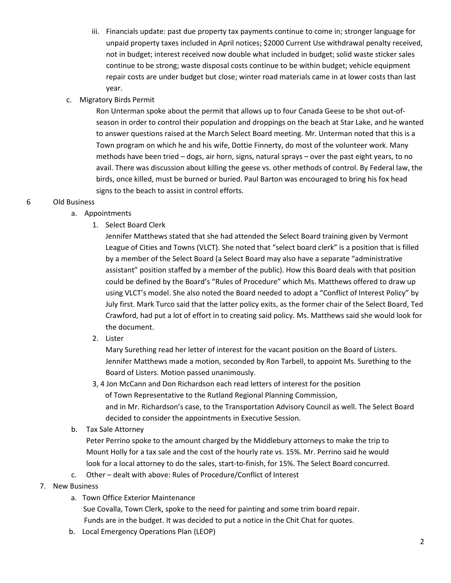- iii. Financials update: past due property tax payments continue to come in; stronger language for unpaid property taxes included in April notices; \$2000 Current Use withdrawal penalty received, not in budget; interest received now double what included in budget; solid waste sticker sales continue to be strong; waste disposal costs continue to be within budget; vehicle equipment repair costs are under budget but close; winter road materials came in at lower costs than last year.
- c. Migratory Birds Permit

Ron Unterman spoke about the permit that allows up to four Canada Geese to be shot out-ofseason in order to control their population and droppings on the beach at Star Lake, and he wanted to answer questions raised at the March Select Board meeting. Mr. Unterman noted that this is a Town program on which he and his wife, Dottie Finnerty, do most of the volunteer work. Many methods have been tried – dogs, air horn, signs, natural sprays – over the past eight years, to no avail. There was discussion about killing the geese vs. other methods of control. By Federal law, the birds, once killed, must be burned or buried. Paul Barton was encouraged to bring his fox head signs to the beach to assist in control efforts.

## 6 Old Business

- a. Appointments
	- 1. Select Board Clerk

Jennifer Matthews stated that she had attended the Select Board training given by Vermont League of Cities and Towns (VLCT). She noted that "select board clerk" is a position that is filled by a member of the Select Board (a Select Board may also have a separate "administrative assistant" position staffed by a member of the public). How this Board deals with that position could be defined by the Board's "Rules of Procedure" which Ms. Matthews offered to draw up using VLCT's model. She also noted the Board needed to adopt a "Conflict of Interest Policy" by July first. Mark Turco said that the latter policy exits, as the former chair of the Select Board, Ted Crawford, had put a lot of effort in to creating said policy. Ms. Matthews said she would look for the document.

2. Lister

Mary Surething read her letter of interest for the vacant position on the Board of Listers. Jennifer Matthews made a motion, seconded by Ron Tarbell, to appoint Ms. Surething to the Board of Listers. Motion passed unanimously.

 3, 4 Jon McCann and Don Richardson each read letters of interest for the position of Town Representative to the Rutland Regional Planning Commission, and in Mr. Richardson's case, to the Transportation Advisory Council as well. The Select Board decided to consider the appointments in Executive Session.

b. Tax Sale Attorney

Peter Perrino spoke to the amount charged by the Middlebury attorneys to make the trip to Mount Holly for a tax sale and the cost of the hourly rate vs. 15%. Mr. Perrino said he would look for a local attorney to do the sales, start-to-finish, for 15%. The Select Board concurred.

- c. Other dealt with above: Rules of Procedure/Conflict of Interest
- 7. New Business
	- a. Town Office Exterior Maintenance Sue Covalla, Town Clerk, spoke to the need for painting and some trim board repair. Funds are in the budget. It was decided to put a notice in the Chit Chat for quotes.
	- b. Local Emergency Operations Plan (LEOP)